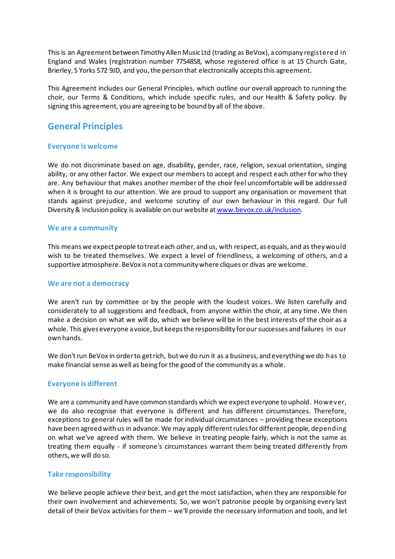This is an Agreement between Timothy Allen Music Ltd (trading as BeVox), a company registered in England and Wales (registration number 7754858, whose registered office is at 15 Church Gate, Brierley, S Yorks S72 9JD, and you, the person that electronically accepts this agreement.

This Agreement includes our General Principles, which outline our overall approach to running the choir, our Terms & Conditions, which include specific rules, and our Health & Safety policy. By signing this agreement, you are agreeing to be bound by all of the above.

# **General Principles**

## **Everyone is welcome**

We do not discriminate based on age, disability, gender, race, religion, sexual orientation, singing ability, or any other factor. We expect our members to accept and respect each other for who they are. Any behaviour that makes another member of the choir feel uncomfortable will be addressed when it is brought to our attention. We are proud to support any organisation or movement that stands against prejudice, and welcome scrutiny of our own behaviour in this regard. Our full Diversity & Inclusion policy is available on our website at www.bevox.co.uk/inclusion.

### **We are a community**

This means we expect people to treat each other, and us, with respect, as equals, and as they would wish to be treated themselves. We expect a level of friendliness, a welcoming of others, and a supportive atmosphere. BeVox is not a community where cliques or divas are welcome.

### **We are not a democracy**

We aren't run by committee or by the people with the loudest voices. We listen carefully and considerately to all suggestions and feedback, from anyone within the choir, at any time. We then make a decision on what we will do, which we believe will be in the best interests of the choir as a whole. This gives everyone a voice, but keeps the responsibility for our successes and failures in our own hands.

We don't run BeVox in order to get rich, but we do run it as a business, and everything we do has to make financial sense as well as being for the good of the community as a whole.

### **Everyone is different**

We are a community and have common standards which we expect everyone to uphold. However, we do also recognise that everyone is different and has different circumstances. Therefore, exceptions to general rules will be made for individual circumstances – providing these exceptions have been agreed with us in advance. We may apply different rules for different people, depending on what we've agreed with them. We believe in treating people fairly, which is not the same as treating them equally - if someone's circumstances warrant them being treated differently from others, we will do so.

## **Take responsibility**

We believe people achieve their best, and get the most satisfaction, when they are responsible for their own involvement and achievements. So, we won't patronise people by organising every last detail of their BeVox activities for them – we'll provide the necessary information and tools, and let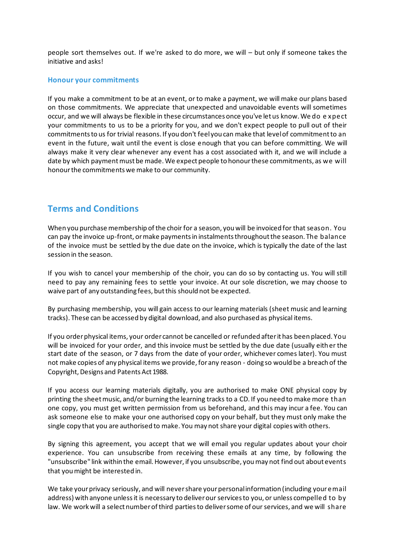people sort themselves out. If we're asked to do more, we will – but only if someone takes the initiative and asks!

#### **Honour your commitments**

If you make a commitment to be at an event, or to make a payment, we will make our plans based on those commitments. We appreciate that unexpected and unavoidable events will sometimes occur, and we will always be flexible in these circumstances once you've let us know. We do e xpect your commitments to us to be a priority for you, and we don't expect people to pull out of their commitments to us for trivial reasons. If you don't feel you can make that level of commitment to an event in the future, wait until the event is close enough that you can before committing. We will always make it very clear whenever any event has a cost associated with it, and we will include a date by which payment must be made. We expect people to honour these commitments, as we will honour the commitments we make to our community.

# **Terms and Conditions**

When you purchase membership of the choir for a season, you will be invoiced for that season. You can pay the invoice up-front, or make payments in instalments throughout the season. The balance of the invoice must be settled by the due date on the invoice, which is typically the date of the last session in the season.

If you wish to cancel your membership of the choir, you can do so by contacting us. You will still need to pay any remaining fees to settle your invoice. At our sole discretion, we may choose to waive part of any outstanding fees, but this should not be expected.

By purchasing membership, you will gain access to our learning materials (sheet music and learning tracks). These can be accessed by digital download, and also purchased as physical items.

If you order physical items, your order cannot be cancelled or refunded after it has been placed. You will be invoiced for your order, and this invoice must be settled by the due date (usually either the start date of the season, or 7 days from the date of your order, whichever comes later). You must not make copies of any physical items we provide, for any reason - doing so would be a breach of the Copyright, Designs and Patents Act 1988.

If you access our learning materials digitally, you are authorised to make ONE physical copy by printing the sheet music, and/or burning the learning tracks to a CD. If you need to make more than one copy, you must get written permission from us beforehand, and this may incur a fee. You can ask someone else to make your one authorised copy on your behalf, but they must only make the single copy that you are authorised to make. You may not share your digital copies with others.

By signing this agreement, you accept that we will email you regular updates about your choir experience. You can unsubscribe from receiving these emails at any time, by following the "unsubscribe" link within the email. However, if you unsubscribe, you may not find out about events that you might be interested in.

We take your privacy seriously, and will never share your personal information (including your email address) with anyone unless it is necessary to deliver our services to you, or unless compelled to by law. We work will a select number of third parties to deliver some of our services, and we will share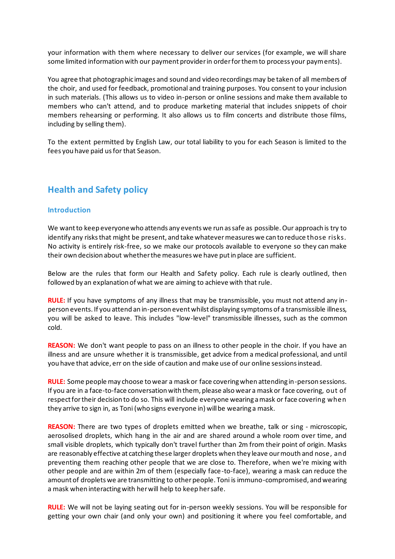your information with them where necessary to deliver our services (for example, we will share some limited information with our payment provider in order for them to process your payments).

You agree that photographic images and sound and video recordings may be taken of all members of the choir, and used for feedback, promotional and training purposes. You consent to your inclusion in such materials. (This allows us to video in-person or online sessions and make them available to members who can't attend, and to produce marketing material that includes snippets of choir members rehearsing or performing. It also allows us to film concerts and distribute those films, including by selling them).

To the extent permitted by English Law, our total liability to you for each Season is limited to the fees you have paid us for that Season.

# **Health and Safety policy**

#### **Introduction**

We want to keep everyone who attends any events we run as safe as possible. Our approach is try to identify any risks that might be present, and take whatever measures we can to reduce those risks. No activity is entirely risk-free, so we make our protocols available to everyone so they can make their own decision about whether the measures we have put in place are sufficient.

Below are the rules that form our Health and Safety policy. Each rule is clearly outlined, then followed by an explanation of what we are aiming to achieve with that rule.

**RULE:** If you have symptoms of any illness that may be transmissible, you must not attend any inperson events. If you attend an in-person event whilst displaying symptoms of a transmissible illness, you will be asked to leave. This includes "low-level" transmissible illnesses, such as the common cold.

**REASON:** We don't want people to pass on an illness to other people in the choir. If you have an illness and are unsure whether it is transmissible, get advice from a medical professional, and until you have that advice, err on the side of caution and make use of our online sessions instead.

**RULE:** Some people may choose to wear a mask or face covering when attending in-person sessions. If you are in a face-to-face conversation with them, please also wear a mask or face covering, out of respect for their decision to do so. This will include everyone wearing a mask or face covering when they arrive to sign in, as Toni (who signs everyone in) will be wearing a mask.

**REASON:** There are two types of droplets emitted when we breathe, talk or sing - microscopic, aerosolised droplets, which hang in the air and are shared around a whole room over time, and small visible droplets, which typically don't travel further than 2m from their point of origin. Masks are reasonably effective at catching these larger droplets when they leave our mouth and nose, and preventing them reaching other people that we are close to. Therefore, when we're mixing with other people and are within 2m of them (especially face-to-face), wearing a mask can reduce the amount of droplets we are transmitting to other people. Toni is immuno-compromised, and wearing a mask when interacting with her will help to keep her safe.

**RULE:** We will not be laying seating out for in-person weekly sessions. You will be responsible for getting your own chair (and only your own) and positioning it where you feel comfortable, and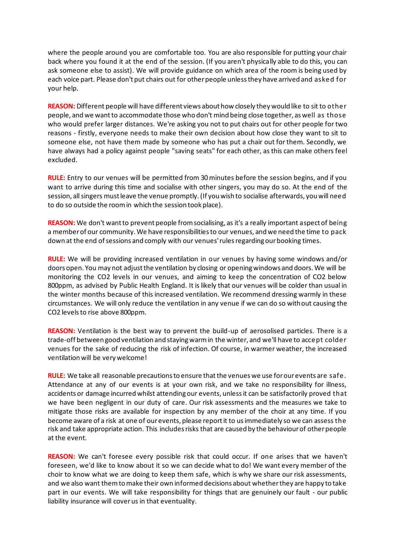where the people around you are comfortable too. You are also responsible for putting your chair back where you found it at the end of the session. (If you aren't physically able to do this, you can ask someone else to assist). We will provide guidance on which area of the room is being used by each voice part. Please don't put chairs out for other people unless they have arrived and asked for your help.

**REASON:** Different people will have different views about how closely they would like to sit to other people, and we want to accommodate those who don't mind being close together, as well as those who would prefer larger distances. We're asking you not to put chairs out for other people for two reasons - firstly, everyone needs to make their own decision about how close they want to sit to someone else, not have them made by someone who has put a chair out for them. Secondly, we have always had a policy against people "saving seats" for each other, as this can make others feel excluded.

**RULE:** Entry to our venues will be permitted from 30 minutes before the session begins, and if you want to arrive during this time and socialise with other singers, you may do so. At the end of the session, all singers must leave the venue promptly. (If you wish to socialise afterwards, you will need to do so outside the room in which the session took place).

**REASON:** We don't want to prevent people from socialising, as it's a really important aspect of being a member of our community. We have responsibilities to our venues, and we need the time to pack down at the end of sessions and comply with our venues' rules regarding our booking times.

**RULE:** We will be providing increased ventilation in our venues by having some windows and/or doors open. You may not adjust the ventilation by closing or opening windows and doors. We will be monitoring the CO2 levels in our venues, and aiming to keep the concentration of CO2 below 800ppm, as advised by Public Health England. It is likely that our venues will be colder than usual in the winter months because of this increased ventilation. We recommend dressing warmly in these circumstances. We will only reduce the ventilation in any venue if we can do so without causing the CO2 levels to rise above 800ppm.

**REASON:** Ventilation is the best way to prevent the build-up of aerosolised particles. There is a trade-off between good ventilation and staying warm in the winter, and we'll have to accept colder venues for the sake of reducing the risk of infection. Of course, in warmer weather, the increased ventilation will be very welcome!

**RULE:** We take all reasonable precautions to ensure that the venues we use for our events are safe. Attendance at any of our events is at your own risk, and we take no responsibility for illness, accidents or damage incurred whilst attending our events, unless it can be satisfactorily proved that we have been negligent in our duty of care. Our risk assessments and the measures we take to mitigate those risks are available for inspection by any member of the choir at any time. If you become aware of a risk at one of our events, please report it to us immediately so we can assess the risk and take appropriate action. This includes risks that are caused by the behaviour of other people at the event.

**REASON:** We can't foresee every possible risk that could occur. If one arises that we haven't foreseen, we'd like to know about it so we can decide what to do! We want every member of the choir to know what we are doing to keep them safe, which is why we share our risk assessments, and we also want them to make their own informed decisions about whether they are happy to take part in our events. We will take responsibility for things that are genuinely our fault - our public liability insurance will cover us in that eventuality.